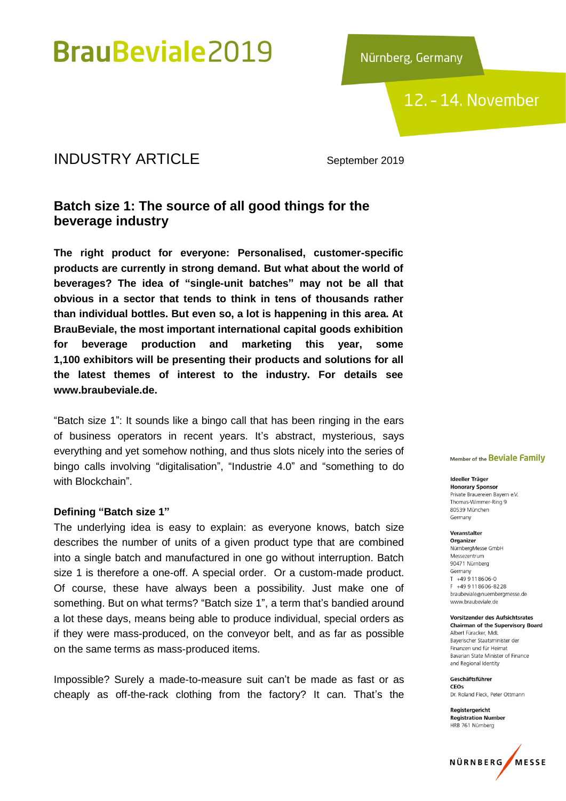Nürnberg, Germany

12. - 14. November

### **INDUSTRY ARTICLE** September 2019

### **Batch size 1: The source of all good things for the beverage industry**

**The right product for everyone: Personalised, customer-specific products are currently in strong demand. But what about the world of beverages? The idea of "single-unit batches" may not be all that obvious in a sector that tends to think in tens of thousands rather than individual bottles. But even so, a lot is happening in this area. At BrauBeviale, the most important international capital goods exhibition for beverage production and marketing this year, some 1,100 exhibitors will be presenting their products and solutions for all the latest themes of interest to the industry. For details see www.braubeviale.de.**

"Batch size 1": It sounds like a bingo call that has been ringing in the ears of business operators in recent years. It's abstract, mysterious, says everything and yet somehow nothing, and thus slots nicely into the series of bingo calls involving "digitalisation", "Industrie 4.0" and "something to do with Blockchain".

#### **Defining "Batch size 1"**

The underlying idea is easy to explain: as everyone knows, batch size describes the number of units of a given product type that are combined into a single batch and manufactured in one go without interruption. Batch size 1 is therefore a one-off. A special order. Or a custom-made product. Of course, these have always been a possibility. Just make one of something. But on what terms? "Batch size 1", a term that's bandied around a lot these days, means being able to produce individual, special orders as if they were mass-produced, on the conveyor belt, and as far as possible on the same terms as mass-produced items.

Impossible? Surely a made-to-measure suit can't be made as fast or as cheaply as off-the-rack clothing from the factory? It can. That's the

#### Member of the Beviale Family

#### Ideeller Träger **Honorary Sponsor**

Private Brauereien Bayern e.V. Thomas-Wimmer-Ring 9 80539 München Germany

#### Veranstalter

Organizer NürnbergMesse GmbH Messezentrum 90471 Nürnberg Germany  $T + 499118606 - 0$ E +49 9 11 86 06-82 28 braubeviale@nuernbergmesse.de www.braubeviale.de

**Vorsitzender des Aufsichtsrates Chairman of the Supervisory Board** Albert Füracker, MdL Bayerischer Staatsminister der Finanzen und für Heimat Bayarian State Minister of Finance and Regional Identity

Geschäftsführer CEOS Dr. Roland Fleck, Peter Ottmann

Registergericht **Registration Number** HRB 761 Nürnberg

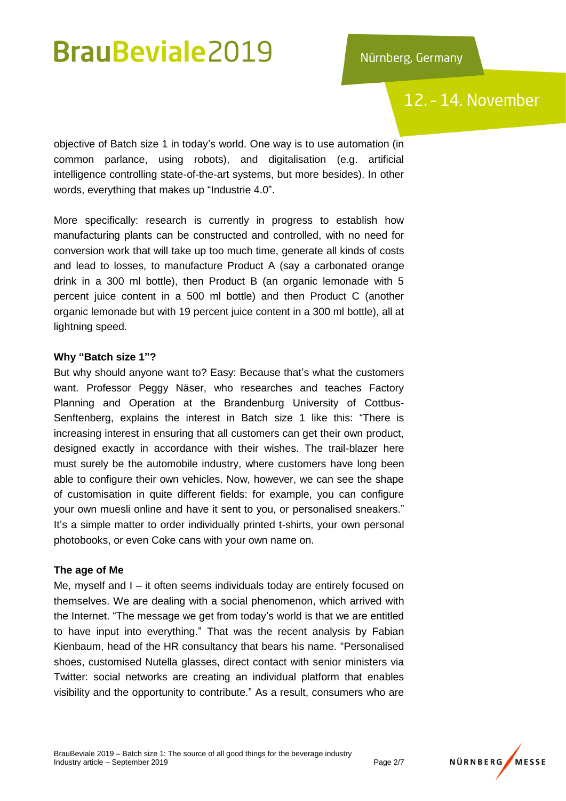## 12. - 14. November

objective of Batch size 1 in today's world. One way is to use automation (in common parlance, using robots), and digitalisation (e.g. artificial intelligence controlling state-of-the-art systems, but more besides). In other words, everything that makes up "Industrie 4.0".

More specifically: research is currently in progress to establish how manufacturing plants can be constructed and controlled, with no need for conversion work that will take up too much time, generate all kinds of costs and lead to losses, to manufacture Product A (say a carbonated orange drink in a 300 ml bottle), then Product B (an organic lemonade with 5 percent juice content in a 500 ml bottle) and then Product C (another organic lemonade but with 19 percent juice content in a 300 ml bottle), all at lightning speed.

### **Why "Batch size 1"?**

But why should anyone want to? Easy: Because that's what the customers want. Professor Peggy Näser, who researches and teaches Factory Planning and Operation at the Brandenburg University of Cottbus-Senftenberg, explains the interest in Batch size 1 like this: "There is increasing interest in ensuring that all customers can get their own product, designed exactly in accordance with their wishes. The trail-blazer here must surely be the automobile industry, where customers have long been able to configure their own vehicles. Now, however, we can see the shape of customisation in quite different fields: for example, you can configure your own muesli online and have it sent to you, or personalised sneakers." It's a simple matter to order individually printed t-shirts, your own personal photobooks, or even Coke cans with your own name on.

### **The age of Me**

Me, myself and I – it often seems individuals today are entirely focused on themselves. We are dealing with a social phenomenon, which arrived with the Internet. "The message we get from today's world is that we are entitled to have input into everything." That was the recent analysis by Fabian Kienbaum, head of the HR consultancy that bears his name. "Personalised shoes, customised Nutella glasses, direct contact with senior ministers via Twitter: social networks are creating an individual platform that enables visibility and the opportunity to contribute." As a result, consumers who are

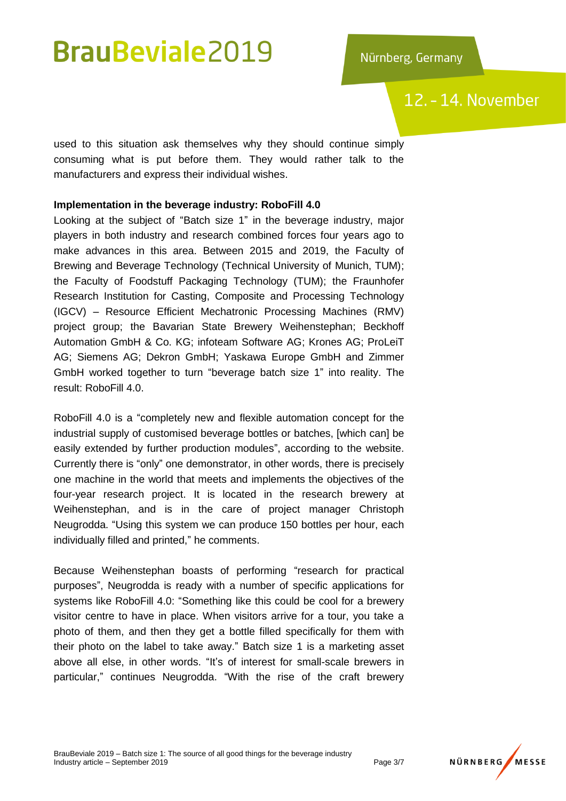## 12. - 14. November

used to this situation ask themselves why they should continue simply consuming what is put before them. They would rather talk to the manufacturers and express their individual wishes.

### **Implementation in the beverage industry: RoboFill 4.0**

Looking at the subject of "Batch size 1" in the beverage industry, major players in both industry and research combined forces four years ago to make advances in this area. Between 2015 and 2019, the Faculty of Brewing and Beverage Technology (Technical University of Munich, TUM); the Faculty of Foodstuff Packaging Technology (TUM); the Fraunhofer Research Institution for Casting, Composite and Processing Technology (IGCV) – Resource Efficient Mechatronic Processing Machines (RMV) project group; the Bavarian State Brewery Weihenstephan; Beckhoff Automation GmbH & Co. KG; infoteam Software AG; Krones AG; ProLeiT AG; Siemens AG; Dekron GmbH; Yaskawa Europe GmbH and Zimmer GmbH worked together to turn "beverage batch size 1" into reality. The result: RoboFill 4.0.

RoboFill 4.0 is a "completely new and flexible automation concept for the industrial supply of customised beverage bottles or batches, [which can] be easily extended by further production modules", according to the website. Currently there is "only" one demonstrator, in other words, there is precisely one machine in the world that meets and implements the objectives of the four-year research project. It is located in the research brewery at Weihenstephan, and is in the care of project manager Christoph Neugrodda. "Using this system we can produce 150 bottles per hour, each individually filled and printed," he comments.

Because Weihenstephan boasts of performing "research for practical purposes", Neugrodda is ready with a number of specific applications for systems like RoboFill 4.0: "Something like this could be cool for a brewery visitor centre to have in place. When visitors arrive for a tour, you take a photo of them, and then they get a bottle filled specifically for them with their photo on the label to take away." Batch size 1 is a marketing asset above all else, in other words. "It's of interest for small-scale brewers in particular," continues Neugrodda. "With the rise of the craft brewery

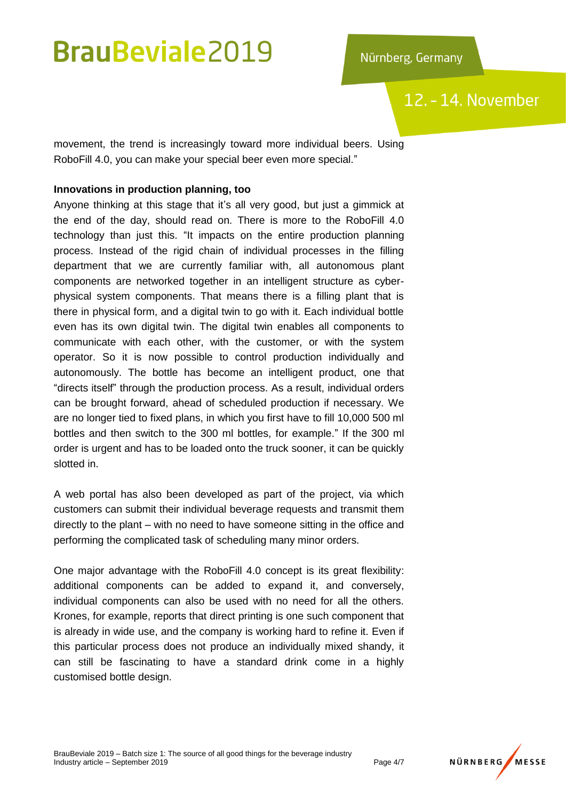12. - 14. November

movement, the trend is increasingly toward more individual beers. Using RoboFill 4.0, you can make your special beer even more special."

### **Innovations in production planning, too**

Anyone thinking at this stage that it's all very good, but just a gimmick at the end of the day, should read on. There is more to the RoboFill 4.0 technology than just this. "It impacts on the entire production planning process. Instead of the rigid chain of individual processes in the filling department that we are currently familiar with, all autonomous plant components are networked together in an intelligent structure as cyberphysical system components. That means there is a filling plant that is there in physical form, and a digital twin to go with it. Each individual bottle even has its own digital twin. The digital twin enables all components to communicate with each other, with the customer, or with the system operator. So it is now possible to control production individually and autonomously. The bottle has become an intelligent product, one that "directs itself" through the production process. As a result, individual orders can be brought forward, ahead of scheduled production if necessary. We are no longer tied to fixed plans, in which you first have to fill 10,000 500 ml bottles and then switch to the 300 ml bottles, for example." If the 300 ml order is urgent and has to be loaded onto the truck sooner, it can be quickly slotted in.

A web portal has also been developed as part of the project, via which customers can submit their individual beverage requests and transmit them directly to the plant – with no need to have someone sitting in the office and performing the complicated task of scheduling many minor orders.

One major advantage with the RoboFill 4.0 concept is its great flexibility: additional components can be added to expand it, and conversely, individual components can also be used with no need for all the others. Krones, for example, reports that direct printing is one such component that is already in wide use, and the company is working hard to refine it. Even if this particular process does not produce an individually mixed shandy, it can still be fascinating to have a standard drink come in a highly customised bottle design.

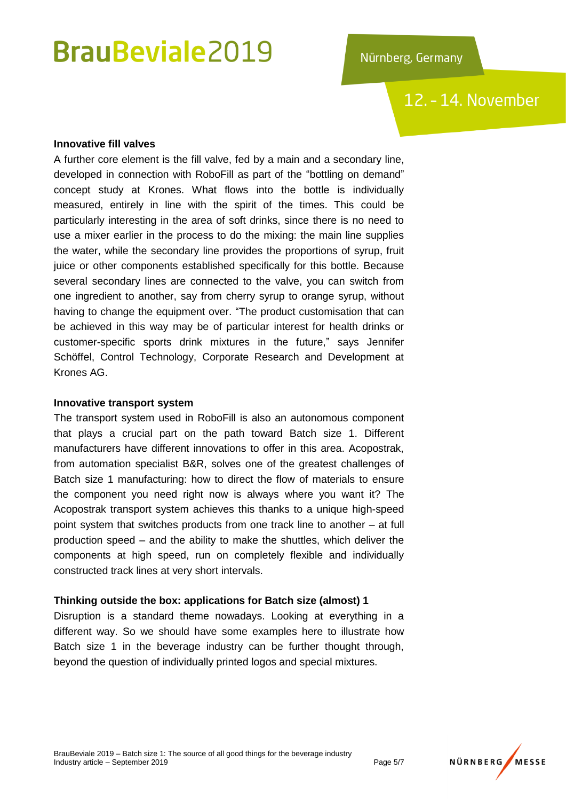12. - 14. November

#### **Innovative fill valves**

A further core element is the fill valve, fed by a main and a secondary line, developed in connection with RoboFill as part of the "bottling on demand" concept study at Krones. What flows into the bottle is individually measured, entirely in line with the spirit of the times. This could be particularly interesting in the area of soft drinks, since there is no need to use a mixer earlier in the process to do the mixing: the main line supplies the water, while the secondary line provides the proportions of syrup, fruit juice or other components established specifically for this bottle. Because several secondary lines are connected to the valve, you can switch from one ingredient to another, say from cherry syrup to orange syrup, without having to change the equipment over. "The product customisation that can be achieved in this way may be of particular interest for health drinks or customer-specific sports drink mixtures in the future," says Jennifer Schöffel, Control Technology, Corporate Research and Development at Krones AG.

#### **Innovative transport system**

The transport system used in RoboFill is also an autonomous component that plays a crucial part on the path toward Batch size 1. Different manufacturers have different innovations to offer in this area. Acopostrak, from automation specialist B&R, solves one of the greatest challenges of Batch size 1 manufacturing: how to direct the flow of materials to ensure the component you need right now is always where you want it? The Acopostrak transport system achieves this thanks to a unique high-speed point system that switches products from one track line to another – at full production speed – and the ability to make the shuttles, which deliver the components at high speed, run on completely flexible and individually constructed track lines at very short intervals.

### **Thinking outside the box: applications for Batch size (almost) 1**

Disruption is a standard theme nowadays. Looking at everything in a different way. So we should have some examples here to illustrate how Batch size 1 in the beverage industry can be further thought through, beyond the question of individually printed logos and special mixtures.

BrauBeviale 2019 – Batch size 1: The source of all good things for the beverage industry Industry article – September 2019 Page 5/7

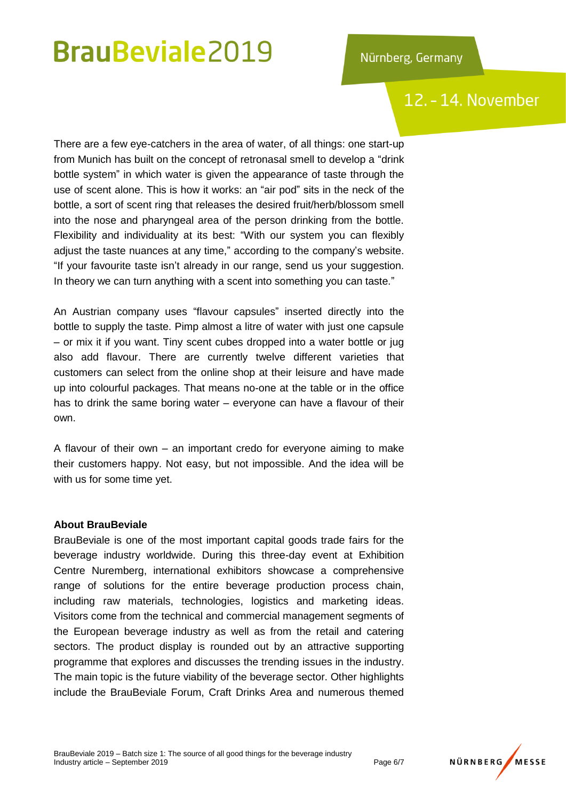### 12. - 14. November

There are a few eye-catchers in the area of water, of all things: one start-up from Munich has built on the concept of retronasal smell to develop a "drink bottle system" in which water is given the appearance of taste through the use of scent alone. This is how it works: an "air pod" sits in the neck of the bottle, a sort of scent ring that releases the desired fruit/herb/blossom smell into the nose and pharyngeal area of the person drinking from the bottle. Flexibility and individuality at its best: "With our system you can flexibly adjust the taste nuances at any time," according to the company's website. "If your favourite taste isn't already in our range, send us your suggestion. In theory we can turn anything with a scent into something you can taste."

An Austrian company uses "flavour capsules" inserted directly into the bottle to supply the taste. Pimp almost a litre of water with just one capsule – or mix it if you want. Tiny scent cubes dropped into a water bottle or jug also add flavour. There are currently twelve different varieties that customers can select from the online shop at their leisure and have made up into colourful packages. That means no-one at the table or in the office has to drink the same boring water – everyone can have a flavour of their own.

A flavour of their own – an important credo for everyone aiming to make their customers happy. Not easy, but not impossible. And the idea will be with us for some time yet.

### **About BrauBeviale**

BrauBeviale is one of the most important capital goods trade fairs for the beverage industry worldwide. During this three-day event at Exhibition Centre Nuremberg, international exhibitors showcase a comprehensive range of solutions for the entire beverage production process chain, including raw materials, technologies, logistics and marketing ideas. Visitors come from the technical and commercial management segments of the European beverage industry as well as from the retail and catering sectors. The product display is rounded out by an attractive supporting programme that explores and discusses the trending issues in the industry. The main topic is the future viability of the beverage sector. Other highlights include the BrauBeviale Forum, Craft Drinks Area and numerous themed